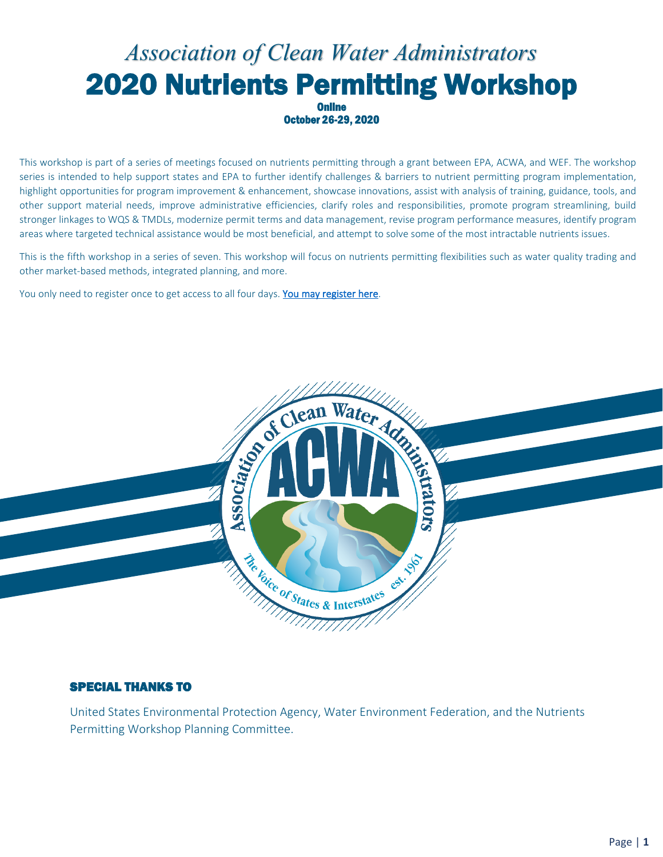### *Association of Clean Water Administrators* 2020 Nutrients Permitting Workshop **Online**

October 26-29, 2020

This workshop is part of a series of meetings focused on nutrients permitting through a grant between EPA, ACWA, and WEF. The workshop series is intended to help support states and EPA to further identify challenges & barriers to nutrient permitting program implementation, highlight opportunities for program improvement & enhancement, showcase innovations, assist with analysis of training, guidance, tools, and other support material needs, improve administrative efficiencies, clarify roles and responsibilities, promote program streamlining, build stronger linkages to WQS & TMDLs, modernize permit terms and data management, revise program performance measures, identify program areas where targeted technical assistance would be most beneficial, and attempt to solve some of the most intractable nutrients issues.

This is the fifth workshop in a series of seven. This workshop will focus on nutrients permitting flexibilities such as water quality trading and other market-based methods, integrated planning, and more.

You only need to register once to get access to all four days. You may register here.



#### SPECIAL THANKS TO

United States Environmental Protection Agency, Water Environment Federation, and the Nutrients Permitting Workshop Planning Committee.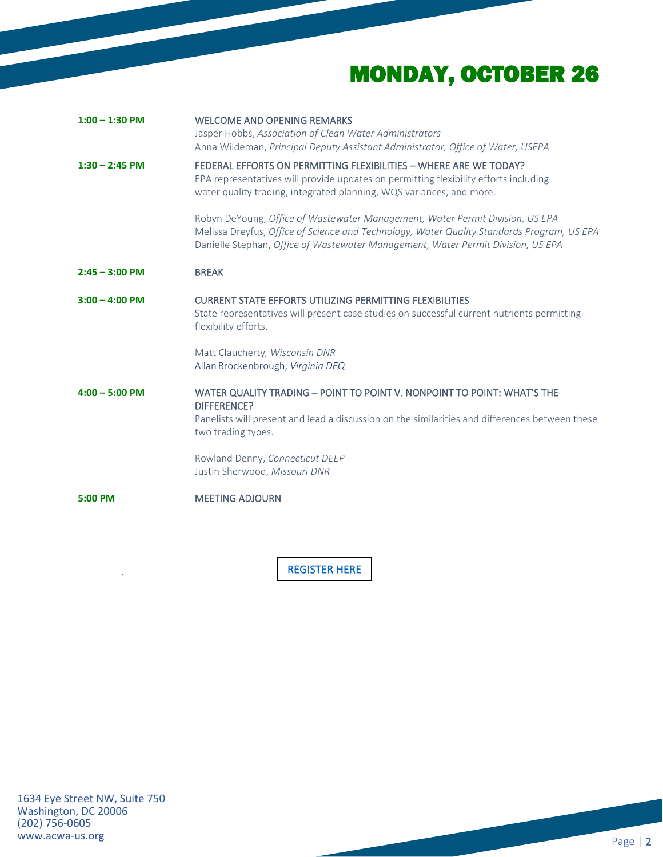# MONDAY, OCTOBER 26

| $1:00 - 1:30$ PM | <b>WELCOME AND OPENING REMARKS</b><br>Jasper Hobbs, Association of Clean Water Administrators<br>Anna Wildeman, Principal Deputy Assistant Administrator, Office of Water, USEPA                                                                                |
|------------------|-----------------------------------------------------------------------------------------------------------------------------------------------------------------------------------------------------------------------------------------------------------------|
| $1:30 - 2:45$ PM | FEDERAL EFFORTS ON PERMITTING FLEXIBILITIES - WHERE ARE WE TODAY?<br>EPA representatives will provide updates on permitting flexibility efforts including<br>water quality trading, integrated planning, WQS variances, and more.                               |
|                  | Robyn DeYoung, Office of Wastewater Management, Water Permit Division, US EPA<br>Melissa Dreyfus, Office of Science and Technology, Water Quality Standards Program, US EPA<br>Danielle Stephan, Office of Wastewater Management, Water Permit Division, US EPA |
| $2:45 - 3:00$ PM | <b>BREAK</b>                                                                                                                                                                                                                                                    |
| $3:00 - 4:00$ PM | <b>CURRENT STATE EFFORTS UTILIZING PERMITTING FLEXIBILITIES</b><br>State representatives will present case studies on successful current nutrients permitting<br>flexibility efforts.                                                                           |
|                  | Matt Claucherty, Wisconsin DNR<br>Allan Brockenbrough, Virginia DEQ                                                                                                                                                                                             |
| $4:00 - 5:00$ PM | WATER QUALITY TRADING - POINT TO POINT V. NONPOINT TO POINT: WHAT'S THE<br>DIFFERENCE?                                                                                                                                                                          |
|                  | Panelists will present and lead a discussion on the similarities and differences between these<br>two trading types.                                                                                                                                            |
|                  | Rowland Denny, Connecticut DEEP<br>Justin Sherwood, Missouri DNR                                                                                                                                                                                                |
| 5:00 PM          | <b>MEETING ADJOURN</b>                                                                                                                                                                                                                                          |

[REGISTER HERE](https://attendee.gotowebinar.com/register/6990761309461265933) 

`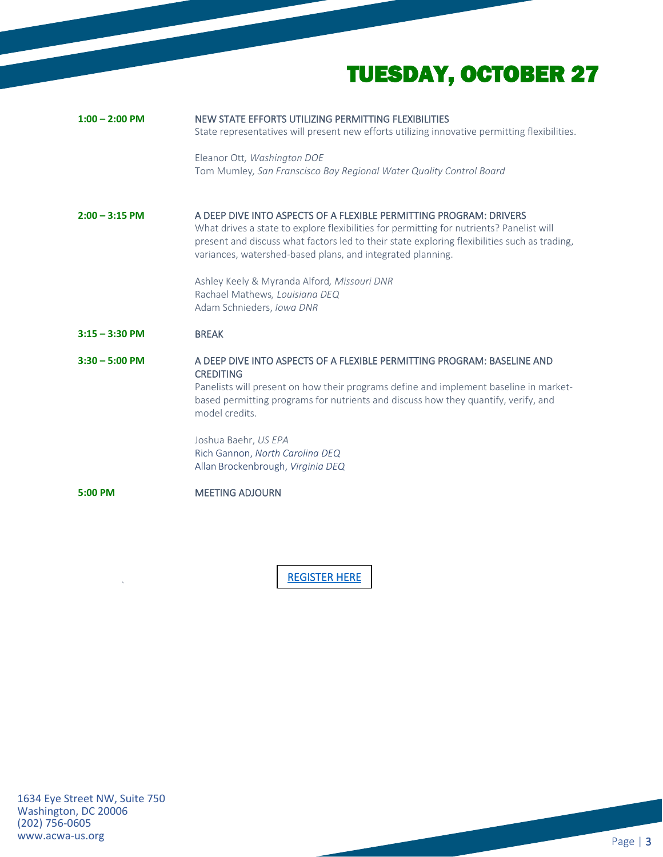# TUESDAY, OCTOBER 27

| $1:00 - 2:00$ PM | NEW STATE EFFORTS UTILIZING PERMITTING FLEXIBILITIES<br>State representatives will present new efforts utilizing innovative permitting flexibilities.                                                                                                                                                                        |
|------------------|------------------------------------------------------------------------------------------------------------------------------------------------------------------------------------------------------------------------------------------------------------------------------------------------------------------------------|
|                  | Eleanor Ott, Washington DOE<br>Tom Mumley, San Franscisco Bay Regional Water Quality Control Board                                                                                                                                                                                                                           |
| $2:00 - 3:15$ PM | A DEEP DIVE INTO ASPECTS OF A FLEXIBLE PERMITTING PROGRAM: DRIVERS<br>What drives a state to explore flexibilities for permitting for nutrients? Panelist will<br>present and discuss what factors led to their state exploring flexibilities such as trading,<br>variances, watershed-based plans, and integrated planning. |
|                  | Ashley Keely & Myranda Alford, Missouri DNR<br>Rachael Mathews, Louisiana DEQ<br>Adam Schnieders, Iowa DNR                                                                                                                                                                                                                   |
|                  |                                                                                                                                                                                                                                                                                                                              |
| $3:15 - 3:30$ PM | <b>BREAK</b>                                                                                                                                                                                                                                                                                                                 |
| $3:30 - 5:00$ PM | A DEEP DIVE INTO ASPECTS OF A FLEXIBLE PERMITTING PROGRAM: BASELINE AND<br><b>CREDITING</b><br>Panelists will present on how their programs define and implement baseline in market-<br>based permitting programs for nutrients and discuss how they quantify, verify, and<br>model credits.                                 |
|                  | Joshua Baehr, US EPA<br>Rich Gannon, North Carolina DEQ<br>Allan Brockenbrough, Virginia DEQ                                                                                                                                                                                                                                 |
| 5:00 PM          | <b>MEETING ADJOURN</b>                                                                                                                                                                                                                                                                                                       |

[REGISTER HERE](https://attendee.gotowebinar.com/register/6990761309461265933) 

 $\ddot{\phantom{a}}$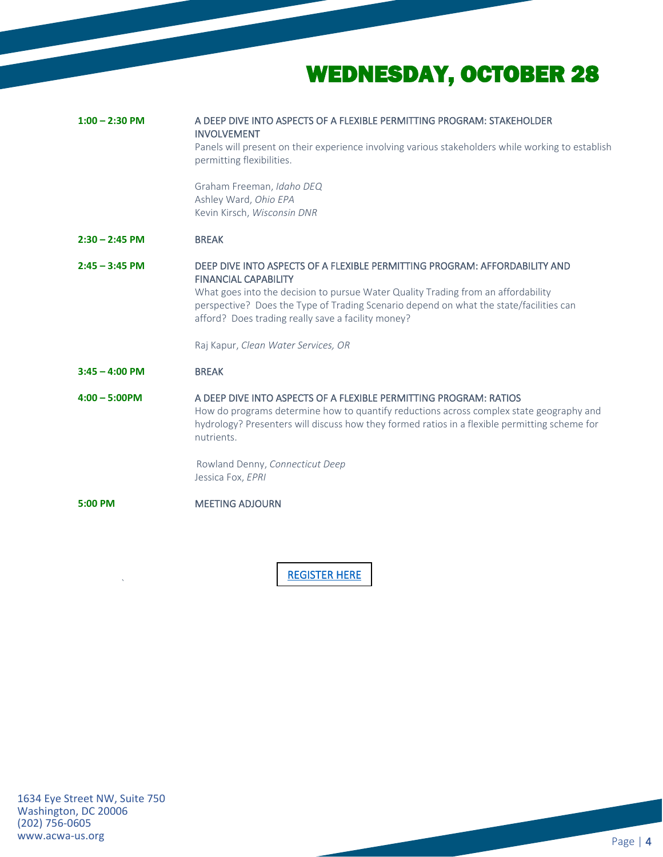# WEDNESDAY, OCTOBER 28

| A DEEP DIVE INTO ASPECTS OF A FLEXIBLE PERMITTING PROGRAM: STAKEHOLDER<br>$1:00 - 2:30$ PM<br><b>INVOLVEMENT</b>                                                                                                                                                            |
|-----------------------------------------------------------------------------------------------------------------------------------------------------------------------------------------------------------------------------------------------------------------------------|
| Panels will present on their experience involving various stakeholders while working to establish<br>permitting flexibilities.                                                                                                                                              |
| Graham Freeman, Idaho DEQ<br>Ashley Ward, Ohio EPA<br>Kevin Kirsch, Wisconsin DNR                                                                                                                                                                                           |
| <b>BREAK</b>                                                                                                                                                                                                                                                                |
|                                                                                                                                                                                                                                                                             |
| DEEP DIVE INTO ASPECTS OF A FLEXIBLE PERMITTING PROGRAM: AFFORDABILITY AND<br>$2:45 - 3:45$ PM<br><b>FINANCIAL CAPABILITY</b>                                                                                                                                               |
| What goes into the decision to pursue Water Quality Trading from an affordability<br>perspective? Does the Type of Trading Scenario depend on what the state/facilities can<br>afford? Does trading really save a facility money?                                           |
| Raj Kapur, Clean Water Services, OR                                                                                                                                                                                                                                         |
| $3:45 - 4:00$ PM<br><b>BREAK</b>                                                                                                                                                                                                                                            |
| A DEEP DIVE INTO ASPECTS OF A FLEXIBLE PERMITTING PROGRAM: RATIOS<br>How do programs determine how to quantify reductions across complex state geography and<br>hydrology? Presenters will discuss how they formed ratios in a flexible permitting scheme for<br>nutrients. |
| Rowland Denny, Connecticut Deep<br>Jessica Fox, EPRI                                                                                                                                                                                                                        |
| <b>MEETING ADJOURN</b>                                                                                                                                                                                                                                                      |
|                                                                                                                                                                                                                                                                             |
| $2:30 - 2:45$ PM<br>$4:00 - 5:00$ PM                                                                                                                                                                                                                                        |

[REGISTER HERE](https://attendee.gotowebinar.com/register/6990761309461265933) 

`